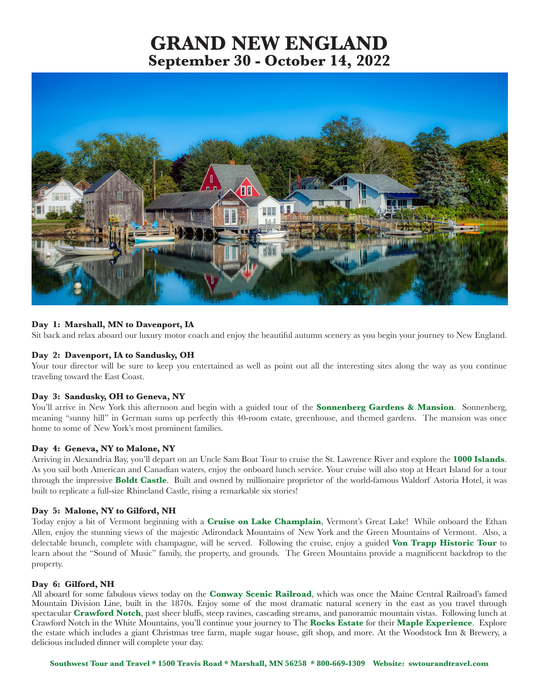# **GRAND NEW ENGLAND September 30 - October 14, 2022**



# **Day 1: Marshall, MN to Davenport, IA**

Sit back and relax aboard our luxury motor coach and enjoy the beautiful autumn scenery as you begin your journey to New England.

# **Day 2: Davenport, IA to Sandusky, OH**

Your tour director will be sure to keep you entertained as well as point out all the interesting sites along the way as you continue traveling toward the East Coast.

## **Day 3: Sandusky, OH to Geneva, NY**

You'll arrive in New York this afternoon and begin with a guided tour of the **Sonnenberg Gardens & Mansion**. Sonnenberg, meaning "sunny hill" in German sums up perfectly this 40-room estate, greenhouse, and themed gardens. The mansion was once home to some of New York's most prominent families.

## **Day 4: Geneva, NY to Malone, NY**

Arriving in Alexandria Bay, you'll depart on an Uncle Sam Boat Tour to cruise the St. Lawrence River and explore the **1000 Islands**. As you sail both American and Canadian waters, enjoy the onboard lunch service. Your cruise will also stop at Heart Island for a tour through the impressive **Boldt Castle**. Built and owned by millionaire proprietor of the world-famous Waldorf Astoria Hotel, it was built to replicate a full-size Rhineland Castle, rising a remarkable six stories!

#### **Day 5: Malone, NY to Gilford, NH**

Today enjoy a bit of Vermont beginning with a **Cruise on Lake Champlain**, Vermont's Great Lake! While onboard the Ethan Allen, enjoy the stunning views of the majestic Adirondack Mountains of New York and the Green Mountains of Vermont. Also, a delectable brunch, complete with champagne, will be served. Following the cruise, enjoy a guided **Von Trapp Historic Tour** to learn about the "Sound of Music" family, the property, and grounds. The Green Mountains provide a magnificent backdrop to the property.

#### **Day 6: Gilford, NH**

All aboard for some fabulous views today on the **Conway Scenic Railroad**, which was once the Maine Central Railroad's famed Mountain Division Line, built in the 1870s. Enjoy some of the most dramatic natural scenery in the east as you travel through spectacular **Crawford Notch**, past sheer bluffs, steep ravines, cascading streams, and panoramic mountain vistas. Following lunch at Crawford Notch in the White Mountains, you'll continue your journey to The **Rocks Estate** for their **Maple Experience**. Explore the estate which includes a giant Christmas tree farm, maple sugar house, gift shop, and more. At the Woodstock Inn & Brewery, a delicious included dinner will complete your day.